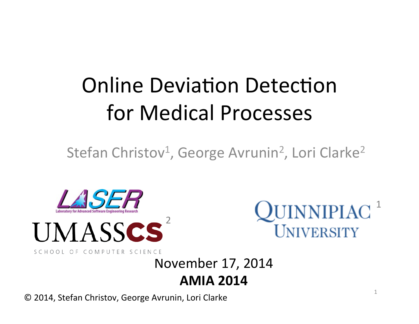# **Online Deviation Detection** for Medical Processes

Stefan Christov<sup>1</sup>, George Avrunin<sup>2</sup>, Lori Clarke<sup>2</sup>





 $QUINNIPIAC$ <sup>1</sup> UNIVERSITY

1 

SCHOOL OF COMPUTER SCIENCE

#### November 17, 2014 **AMIA 2014**

© 2014, Stefan Christov, George Avrunin, Lori Clarke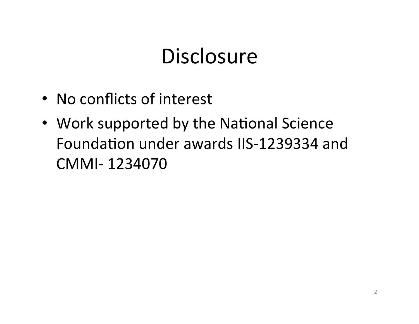### **Disclosure**

- No conflicts of interest
- Work supported by the National Science Foundation under awards IIS-1239334 and CMMI- 1234070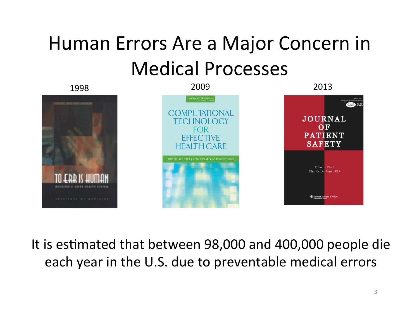## Human Errors Are a Major Concern in Medical Processes

1998 2009 2013 **COMPUTATIONAL JOURNAL** CHNOLOGY OF FOR **PATIENT FEFF CITIVE SAFETY HEALTH CARE** Editor in Chief Charles Denham, MD

It is estimated that between 98,000 and 400,000 people die each year in the U.S. due to preventable medical errors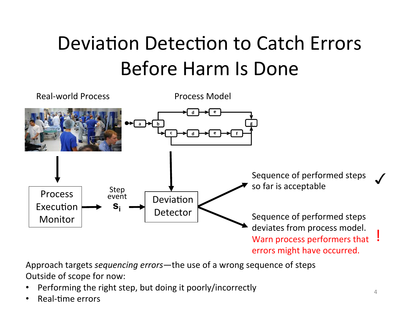## Deviation Detection to Catch Errors Before Harm Is Done



Approach targets *sequencing errors*—the use of a wrong sequence of steps Outside of scope for now:

- Performing the right step, but doing it poorly/incorrectly
- Real-time errors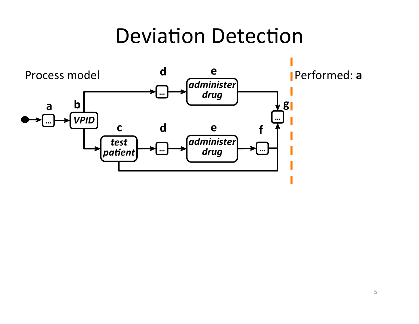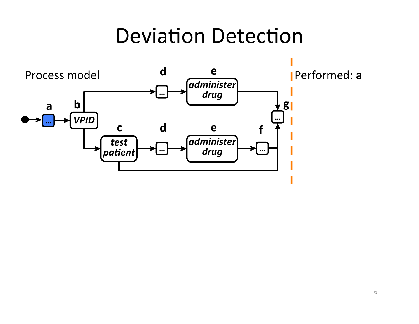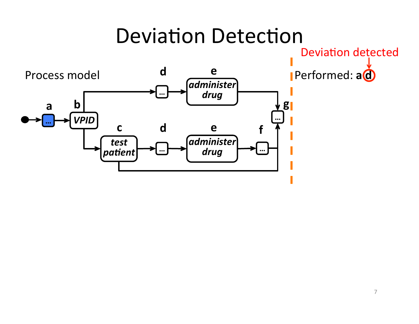**Deviation detected** 

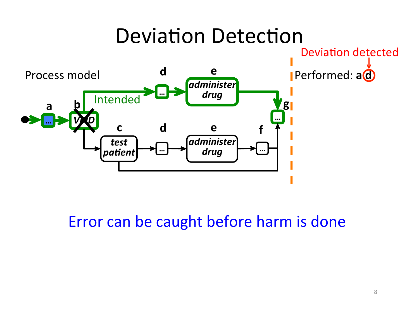

Error can be caught before harm is done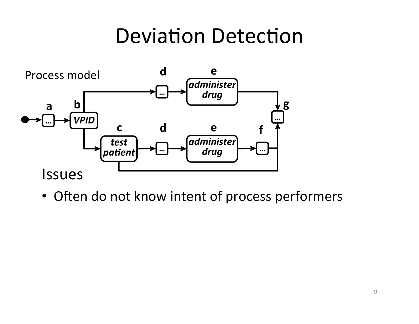

• Often do not know intent of process performers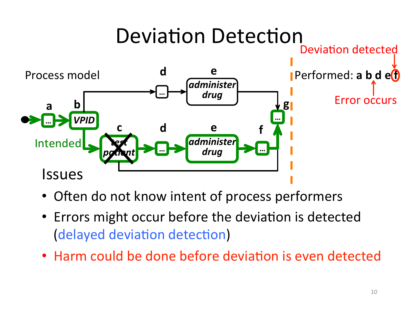

- Often do not know intent of process performers
- Errors might occur before the deviation is detected (delayed deviation detection)
- Harm could be done before deviation is even detected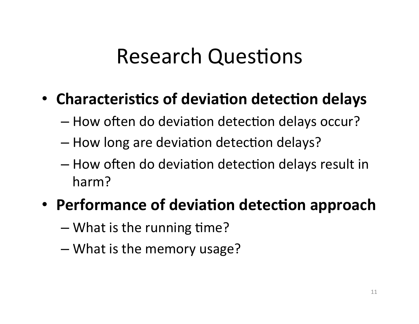### **Research Questions**

### • Characteristics of deviation detection delays

- How often do deviation detection delays occur?
- How long are deviation detection delays?
- $-$  How often do deviation detection delays result in harm?

### • Performance of deviation detection approach

- $-$  What is the running time?
- $-$  What is the memory usage?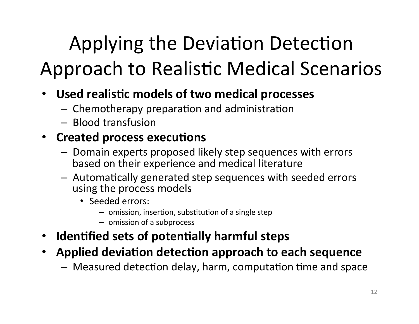## Applying the Deviation Detection Approach to Realistic Medical Scenarios

- **Used realis7c models of two medical processes** 
	- $-$  Chemotherapy preparation and administration
	- Blood transfusion

#### • Created process executions

- $-$  Domain experts proposed likely step sequences with errors based on their experience and medical literature
- $-$  Automatically generated step sequences with seeded errors using the process models
	- Seeded errors:
		- $-$  omission, insertion, substitution of a single step
		- omission of a subprocess
- **Identified sets of potentially harmful steps**
- Applied deviation detection approach to each sequence
	- $-$  Measured detection delay, harm, computation time and space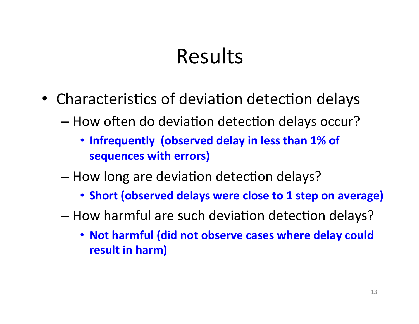### Results

- Characteristics of deviation detection delays
	- How often do deviation detection delays occur?
		- Infrequently (observed delay in less than 1% of **sequences with errors)**
	- How long are deviation detection delays?
		- Short (observed delays were close to 1 step on average)
	- How harmful are such deviation detection delays?
		- Not harmful (did not observe cases where delay could **result in harm)**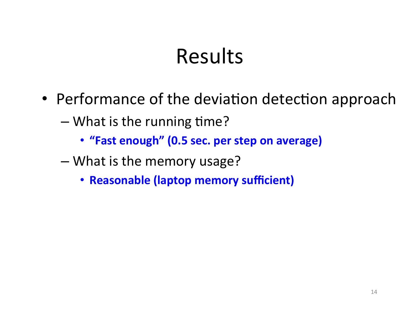### Results

- Performance of the deviation detection approach
	- $-$  What is the running time?
		- "Fast enough" (0.5 sec. per step on average)
	- What is the memory usage?
		- **Reasonable (laptop memory sufficient)**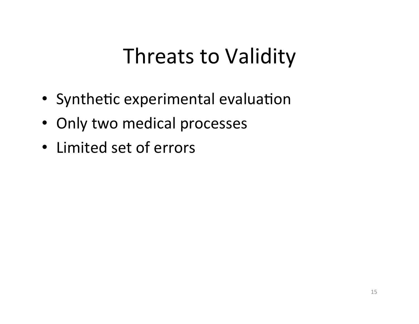### Threats to Validity

- Synthetic experimental evaluation
- Only two medical processes
- Limited set of errors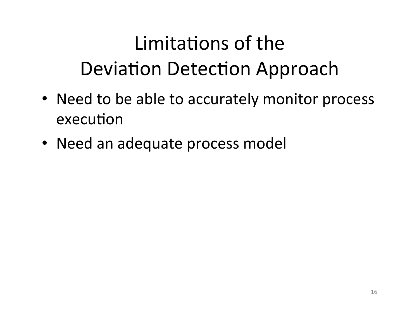## Limitations of the Deviation Detection Approach

- Need to be able to accurately monitor process execution
- Need an adequate process model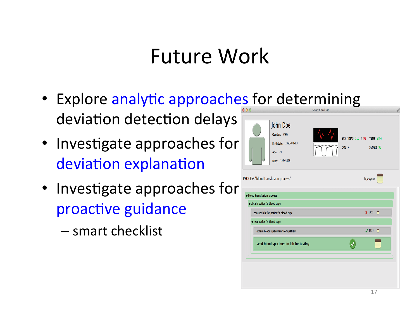### Future Work

- Explore analytic approaches for determining deviation detection delays
- Investigate approaches for deviation explanation
- Investigate approaches for proactive guidance
	- smart checklist

|                                                             | John Doe<br>Gender: male<br>Birthdate: 1993-03-03<br>Age: 21<br>MRN: 12345678 |  | SYS / DIAS 116 / 92 TEMP 98.4<br>CO2 <sub>4</sub><br>SpO2% 96 |   |
|-------------------------------------------------------------|-------------------------------------------------------------------------------|--|---------------------------------------------------------------|---|
| PROCESS "blood transfusion process"                         |                                                                               |  | In progress                                                   |   |
| v blood transfusion process<br>vobtain patient's blood type |                                                                               |  |                                                               |   |
| contact lab for patient's blood type                        |                                                                               |  | $X$ 14:53<br>o                                                |   |
| v test patient's blood type                                 |                                                                               |  |                                                               |   |
| obtain blood specimen from patient                          |                                                                               |  | 14:53                                                         | n |
|                                                             | send blood specimen to lab for testing                                        |  |                                                               |   |
|                                                             |                                                                               |  |                                                               |   |